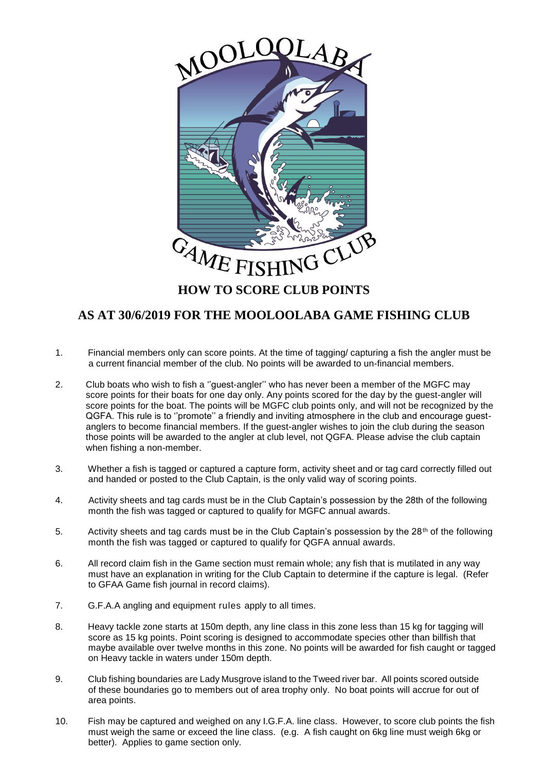

## **AS AT 30/6/2019 FOR THE MOOLOOLABA GAME FISHING CLUB**

- 1. Financial members only can score points. At the time of tagging/ capturing a fish the angler must be a current financial member of the club. No points will be awarded to un-financial members.
- 2. Club boats who wish to fish a ''guest-angler'' who has never been a member of the MGFC may score points for their boats for one day only. Any points scored for the day by the guest-angler will score points for the boat. The points will be MGFC club points only, and will not be recognized by the QGFA. This rule is to ''promote'' a friendly and inviting atmosphere in the club and encourage guest anglers to become financial members. If the guest-angler wishes to join the club during the season those points will be awarded to the angler at club level, not QGFA. Please advise the club captain when fishing a non-member.
- 3. Whether a fish is tagged or captured a capture form, activity sheet and or tag card correctly filled out and handed or posted to the Club Captain, is the only valid way of scoring points.
- 4. Activity sheets and tag cards must be in the Club Captain's possession by the 28th of the following month the fish was tagged or captured to qualify for MGFC annual awards.
- 5. Activity sheets and tag cards must be in the Club Captain's possession by the 28<sup>th</sup> of the following month the fish was tagged or captured to qualify for QGFA annual awards.
- 6. All record claim fish in the Game section must remain whole; any fish that is mutilated in any way must have an explanation in writing for the Club Captain to determine if the capture is legal. (Refer to GFAA Game fish journal in record claims).
- 7. G.F.A.A angling and equipment rules apply to all times.
- 8. Heavy tackle zone starts at 150m depth, any line class in this zone less than 15 kg for tagging will score as 15 kg points. Point scoring is designed to accommodate species other than billfish that maybe available over twelve months in this zone. No points will be awarded for fish caught or tagged on Heavy tackle in waters under 150m depth.
- 9. Club fishing boundaries are Lady Musgrove island to the Tweed river bar. All points scored outside of these boundaries go to members out of area trophy only. No boat points will accrue for out of area points.
- 10. Fish may be captured and weighed on any I.G.F.A. line class. However, to score club points the fish must weigh the same or exceed the line class. (e.g. A fish caught on 6kg line must weigh 6kg or better). Applies to game section only.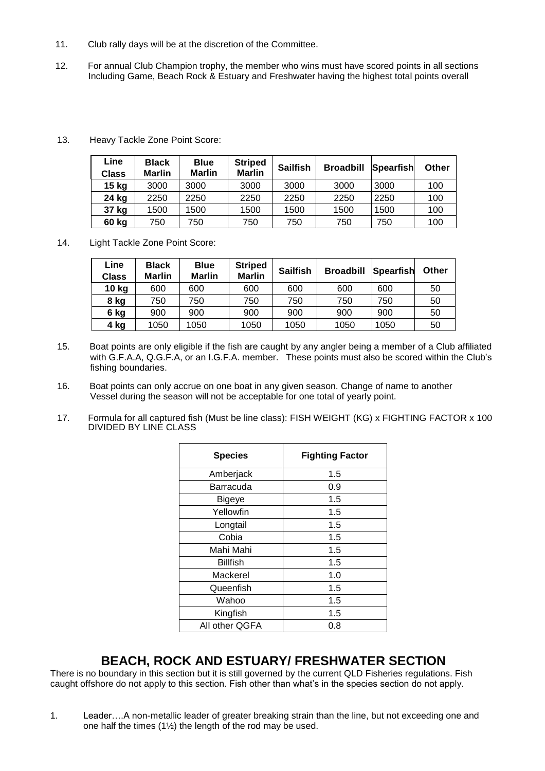- 11. Club rally days will be at the discretion of the Committee.
- 12. For annual Club Champion trophy, the member who wins must have scored points in all sections Including Game, Beach Rock & Estuary and Freshwater having the highest total points overall

| Line<br>Class | <b>Black</b><br><b>Marlin</b> | <b>Blue</b><br><b>Marlin</b> | <b>Striped</b><br><b>Marlin</b> | <b>Sailfish</b> | <b>Broadbill</b> | Spearfish | <b>Other</b> |
|---------------|-------------------------------|------------------------------|---------------------------------|-----------------|------------------|-----------|--------------|
| 15 kg         | 3000                          | 3000                         | 3000                            | 3000            | 3000             | 3000      | 100          |
| 24 kg         | 2250                          | 2250                         | 2250                            | 2250            | 2250             | 2250      | 100          |
| 37 kg         | 1500                          | 1500                         | 1500                            | 1500            | 1500             | 1500      | 100          |
| 60 kg         | 750                           | 750                          | 750                             | 750             | 750              | 750       | 100          |

13. Heavy Tackle Zone Point Score:

14. Light Tackle Zone Point Score:

| Line<br><b>Class</b> | <b>Black</b><br><b>Marlin</b> | <b>Blue</b><br><b>Marlin</b> | <b>Striped</b><br><b>Marlin</b> | <b>Sailfish</b> | <b>Broadbill</b> | Spearfish | Other |
|----------------------|-------------------------------|------------------------------|---------------------------------|-----------------|------------------|-----------|-------|
| 10 kg                | 600                           | 600                          | 600                             | 600             | 600              | 600       | 50    |
| 8 kg                 | 750                           | 750                          | 750                             | 750             | 750              | 750       | 50    |
| 6 kg                 | 900                           | 900                          | 900                             | 900             | 900              | 900       | 50    |
| 4 kg                 | 1050                          | 1050                         | 1050                            | 1050            | 1050             | 1050      | 50    |

- 15. Boat points are only eligible if the fish are caught by any angler being a member of a Club affiliated with G.F.A.A, Q.G.F.A, or an I.G.F.A. member. These points must also be scored within the Club's fishing boundaries.
- 16. Boat points can only accrue on one boat in any given season. Change of name to another Vessel during the season will not be acceptable for one total of yearly point.
- 17. Formula for all captured fish (Must be line class): FISH WEIGHT (KG) x FIGHTING FACTOR x 100 DIVIDED BY LINE CLASS

| <b>Species</b>  | <b>Fighting Factor</b> |
|-----------------|------------------------|
| Amberjack       | 1.5                    |
| Barracuda       | 0.9                    |
| Bigeye          | 1.5                    |
| Yellowfin       | 1.5                    |
| Longtail        | 1.5                    |
| Cobia           | 1.5                    |
| Mahi Mahi       | 1.5                    |
| <b>Billfish</b> | 1.5                    |
| Mackerel        | 1.0                    |
| Queenfish       | 1.5                    |
| Wahoo           | 1.5                    |
| Kingfish        | 1.5                    |
| All other QGFA  | 0.8                    |

## **BEACH, ROCK AND ESTUARY/ FRESHWATER SECTION**

There is no boundary in this section but it is still governed by the current QLD Fisheries regulations. Fish caught offshore do not apply to this section. Fish other than what's in the species section do not apply.

1. Leader….A non-metallic leader of greater breaking strain than the line, but not exceeding one and one half the times (1½) the length of the rod may be used.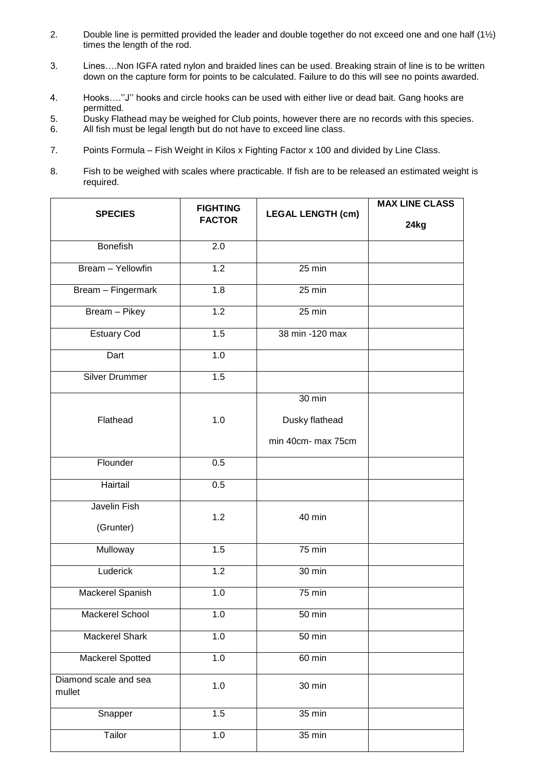- 2. Double line is permitted provided the leader and double together do not exceed one and one half (1½) times the length of the rod.
- 3. Lines….Non IGFA rated nylon and braided lines can be used. Breaking strain of line is to be written down on the capture form for points to be calculated. Failure to do this will see no points awarded.
- 4. Hooks….''J'' hooks and circle hooks can be used with either live or dead bait. Gang hooks are permitted.
- 5. Dusky Flathead may be weighed for Club points, however there are no records with this species.<br>6. All fish must be legal length but do not have to exceed line class.
- All fish must be legal length but do not have to exceed line class.
- 7. Points Formula Fish Weight in Kilos x Fighting Factor x 100 and divided by Line Class.
- 8. Fish to be weighed with scales where practicable. If fish are to be released an estimated weight is required.

| <b>SPECIES</b>                  | <b>FIGHTING</b>  | <b>LEGAL LENGTH (cm)</b> | <b>MAX LINE CLASS</b> |
|---------------------------------|------------------|--------------------------|-----------------------|
|                                 | <b>FACTOR</b>    |                          | 24kg                  |
| <b>Bonefish</b>                 | 2.0              |                          |                       |
| Bream - Yellowfin               | 1.2              | 25 min                   |                       |
| Bream - Fingermark              | 1.8              | 25 min                   |                       |
| Bream - Pikey                   | 1.2              | $25 \text{ min}$         |                       |
| <b>Estuary Cod</b>              | 1.5              | 38 min -120 max          |                       |
| Dart                            | 1.0              |                          |                       |
| <b>Silver Drummer</b>           | 1.5              |                          |                       |
|                                 |                  | 30 min                   |                       |
| Flathead                        | 1.0              | Dusky flathead           |                       |
|                                 |                  | min 40cm- max 75cm       |                       |
| Flounder                        | 0.5              |                          |                       |
| Hairtail                        | 0.5              |                          |                       |
| Javelin Fish                    | 1.2              | 40 min                   |                       |
| (Grunter)                       |                  |                          |                       |
| Mulloway                        | 1.5              | $75 \text{ min}$         |                       |
| Luderick                        | 1.2              | 30 min                   |                       |
| Mackerel Spanish                | $\overline{1.0}$ | $75$ min                 |                       |
| <b>Mackerel School</b>          | $1.0$            | 50 min                   |                       |
| <b>Mackerel Shark</b>           | 1.0              | 50 min                   |                       |
| <b>Mackerel Spotted</b>         | 1.0              | 60 min                   |                       |
| Diamond scale and sea<br>mullet | 1.0              | 30 min                   |                       |
| Snapper                         | 1.5              | $35 \text{ min}$         |                       |
| Tailor                          | 1.0              | $35 \text{ min}$         |                       |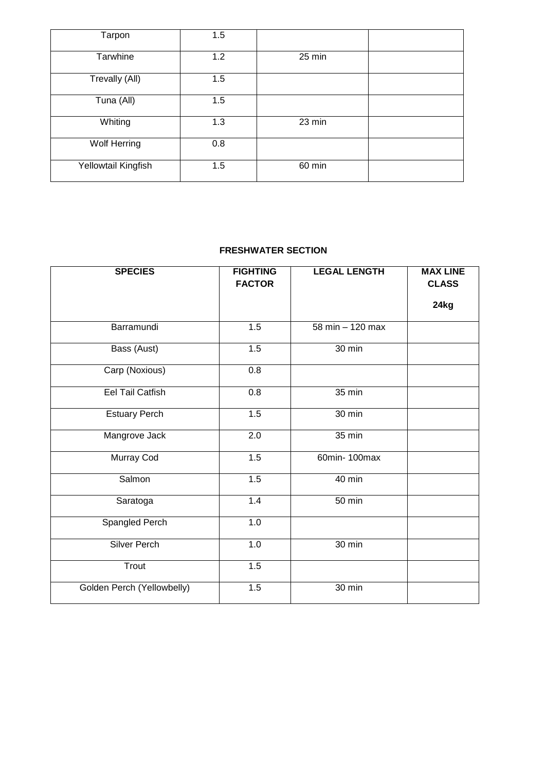| Tarpon              | 1.5 |        |  |
|---------------------|-----|--------|--|
| Tarwhine            | 1.2 | 25 min |  |
| Trevally (All)      | 1.5 |        |  |
| Tuna (All)          | 1.5 |        |  |
| Whiting             | 1.3 | 23 min |  |
| Wolf Herring        | 0.8 |        |  |
| Yellowtail Kingfish | 1.5 | 60 min |  |

## **FRESHWATER SECTION**

| <b>SPECIES</b>             | <b>FIGHTING</b><br><b>FACTOR</b> | <b>LEGAL LENGTH</b> | <b>MAX LINE</b><br><b>CLASS</b> |
|----------------------------|----------------------------------|---------------------|---------------------------------|
|                            |                                  |                     | 24kg                            |
| Barramundi                 | 1.5                              | 58 min - 120 max    |                                 |
| Bass (Aust)                | 1.5                              | 30 min              |                                 |
| Carp (Noxious)             | $\overline{0.8}$                 |                     |                                 |
| <b>Eel Tail Catfish</b>    | 0.8                              | 35 min              |                                 |
| <b>Estuary Perch</b>       | 1.5                              | $30 \text{ min}$    |                                 |
| Mangrove Jack              | $\overline{2.0}$                 | $35 \text{ min}$    |                                 |
| Murray Cod                 | 1.5                              | 60min- 100max       |                                 |
| Salmon                     | 1.5                              | 40 min              |                                 |
| Saratoga                   | 1.4                              | 50 min              |                                 |
| <b>Spangled Perch</b>      | 1.0                              |                     |                                 |
| <b>Silver Perch</b>        | 1.0                              | 30 min              |                                 |
| Trout                      | 1.5                              |                     |                                 |
| Golden Perch (Yellowbelly) | 1.5                              | 30 min              |                                 |